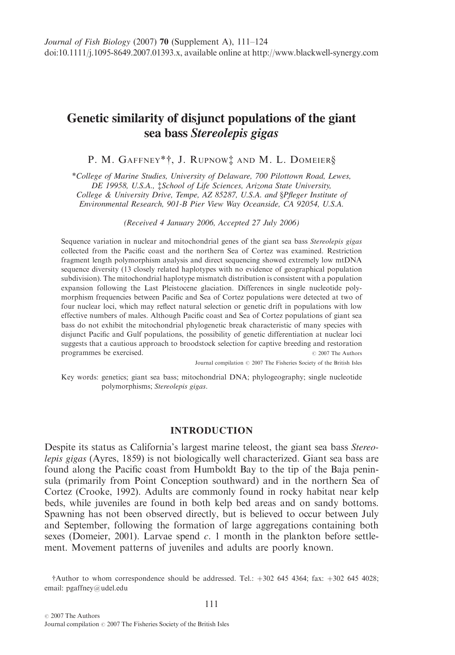# Genetic similarity of disjunct populations of the giant sea bass Stereolepis gigas

P. M. GAFFNEY\*†, J. RUPNOW<sup>†</sup> AND M. L. DOMEIER§

\*College of Marine Studies, University of Delaware, 700 Pilottown Road, Lewes, DE 19958, U.S.A., ‡School of Life Sciences, Arizona State University, College & University Drive, Tempe, AZ 85287, U.S.A. and §Pfleger Institute of Environmental Research, 901-B Pier View Way Oceanside, CA 92054, U.S.A.

(Received 4 January 2006, Accepted 27 July 2006)

Sequence variation in nuclear and mitochondrial genes of the giant sea bass *Stereolepis gigas* collected from the Pacific coast and the northern Sea of Cortez was examined. Restriction fragment length polymorphism analysis and direct sequencing showed extremely low mtDNA sequence diversity (13 closely related haplotypes with no evidence of geographical population subdivision). The mitochondrial haplotype mismatch distribution is consistent with a population expansion following the Last Pleistocene glaciation. Differences in single nucleotide polymorphism frequencies between Pacific and Sea of Cortez populations were detected at two of four nuclear loci, which may reflect natural selection or genetic drift in populations with low effective numbers of males. Although Pacific coast and Sea of Cortez populations of giant sea bass do not exhibit the mitochondrial phylogenetic break characteristic of many species with disjunct Pacific and Gulf populations, the possibility of genetic differentiation at nuclear loci suggests that a cautious approach to broodstock selection for captive breeding and restoration programmes be exercised.  $\oslash$  2007 The Authors

Journal compilation  $\oslash$  2007 The Fisheries Society of the British Isles

Key words: genetics; giant sea bass; mitochondrial DNA; phylogeography; single nucleotide polymorphisms; Stereolepis gigas.

# INTRODUCTION

Despite its status as California's largest marine teleost, the giant sea bass Stereolepis gigas (Ayres, 1859) is not biologically well characterized. Giant sea bass are found along the Pacific coast from Humboldt Bay to the tip of the Baja peninsula (primarily from Point Conception southward) and in the northern Sea of Cortez (Crooke, 1992). Adults are commonly found in rocky habitat near kelp beds, while juveniles are found in both kelp bed areas and on sandy bottoms. Spawning has not been observed directly, but is believed to occur between July and September, following the formation of large aggregations containing both sexes (Domeier, 2001). Larvae spend  $c$ . 1 month in the plankton before settlement. Movement patterns of juveniles and adults are poorly known.

 $\dagger$ Author to whom correspondence should be addressed. Tel.:  $+302\,645\,4364$ ; fax:  $+302\,645\,4028$ ; email: pgaffney@udel.edu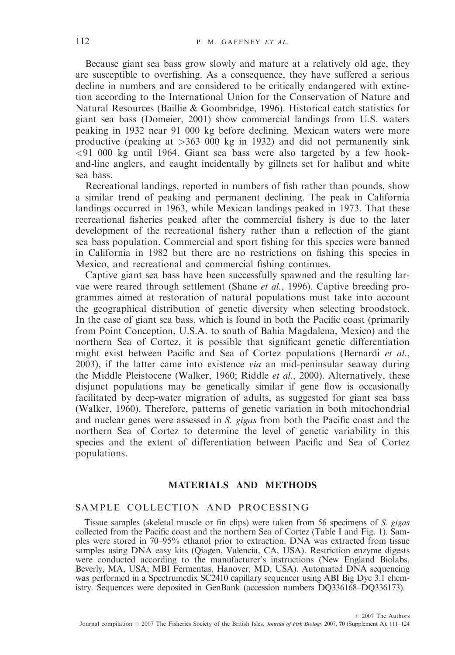Because giant sea bass grow slowly and mature at a relatively old age, they are susceptible to overfishing. As a consequence, they have suffered a serious decline in numbers and are considered to be critically endangered with extinction according to the International Union for the Conservation of Nature and Natural Resources (Baillie & Goombridge, 1996). Historical catch statistics for giant sea bass (Domeier, 2001) show commercial landings from U.S. waters peaking in 1932 near 91 000 kg before declining. Mexican waters were more productive (peaking at  $>363$  000 kg in 1932) and did not permanently sink <91 000 kg until 1964. Giant sea bass were also targeted by a few hookand-line anglers, and caught incidentally by gillnets set for halibut and white sea bass.

Recreational landings, reported in numbers of fish rather than pounds, show a similar trend of peaking and permanent declining. The peak in California landings occurred in 1963, while Mexican landings peaked in 1973. That these recreational fisheries peaked after the commercial fishery is due to the later development of the recreational fishery rather than a reflection of the giant sea bass population. Commercial and sport fishing for this species were banned in California in 1982 but there are no restrictions on fishing this species in Mexico, and recreational and commercial fishing continues.

Captive giant sea bass have been successfully spawned and the resulting larvae were reared through settlement (Shane et al., 1996). Captive breeding programmes aimed at restoration of natural populations must take into account the geographical distribution of genetic diversity when selecting broodstock. In the case of giant sea bass, which is found in both the Pacific coast (primarily from Point Conception, U.S.A. to south of Bahia Magdalena, Mexico) and the northern Sea of Cortez, it is possible that significant genetic differentiation might exist between Pacific and Sea of Cortez populations (Bernardi et al., 2003), if the latter came into existence *via* an mid-peninsular seaway during the Middle Pleistocene (Walker, 1960; Riddle et al., 2000). Alternatively, these disjunct populations may be genetically similar if gene flow is occasionally facilitated by deep-water migration of adults, as suggested for giant sea bass (Walker, 1960). Therefore, patterns of genetic variation in both mitochondrial and nuclear genes were assessed in S. gigas from both the Pacific coast and the northern Sea of Cortez to determine the level of genetic variability in this species and the extent of differentiation between Pacific and Sea of Cortez populations.

# MATERIALS AND METHODS

# SAMPLE COLLECTION AND PROCESSING

Tissue samples (skeletal muscle or fin clips) were taken from 56 specimens of S. gigas collected from the Pacific coast and the northern Sea of Cortez (Table I and Fig. 1). Samples were stored in 70–95% ethanol prior to extraction. DNA was extracted from tissue samples using DNA easy kits (Qiagen, Valencia, CA, USA). Restriction enzyme digests were conducted according to the manufacturer's instructions (New England Biolabs, Beverly, MA, USA; MBI Fermentas, Hanover, MD, USA). Automated DNA sequencing was performed in a Spectrumedix SC2410 capillary sequencer using ABI Big Dye 3.1 chemistry. Sequences were deposited in GenBank (accession numbers DQ336168–DQ336173).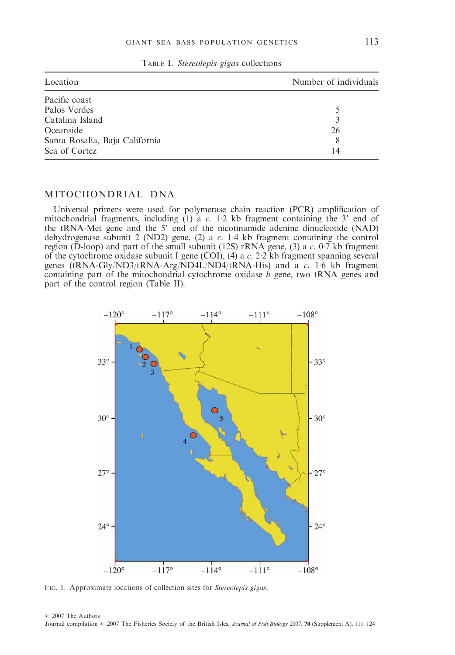| Location                       | Number of individuals |
|--------------------------------|-----------------------|
| Pacific coast                  |                       |
| Palos Verdes                   |                       |
| Catalina Island                |                       |
| Oceanside                      | 26                    |
| Santa Rosalia, Baja California |                       |
| Sea of Cortez                  |                       |

TABLE I. Stereolepis gigas collections

# MITOCHONDRIAL DNA

Universal primers were used for polymerase chain reaction (PCR) amplification of mitochondrial fragments, including  $(1)$  a c. 1.2 kb fragment containing the 3' end of the  $tRNA-Met$  gene and the  $5'$  end of the nicotinamide adenine dinucleotide  $(NAD)$ dehydrogenase subunit 2 (ND2) gene, (2) a c. 14 kb fragment containing the control region (D-loop) and part of the small subunit (12S) rRNA gene, (3) a c. 0.7 kb fragment of the cytochrome oxidase subunit I gene (COI), (4) a c. 22 kb fragment spanning several genes (tRNA-Gly/ND3/tRNA-Arg/ND4L/ND4/tRNA-His) and a c. 1.6 kb fragment containing part of the mitochondrial cytochrome oxidase  $\acute{b}$  gene, two tRNA genes and part of the control region (Table II).



FIG. 1. Approximate locations of collection sites for Stereolepis gigas.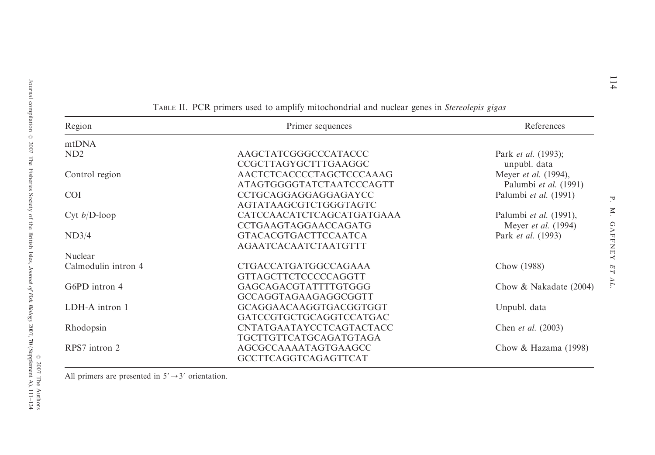| Region              | Primer sequences                | References                 |  |  |
|---------------------|---------------------------------|----------------------------|--|--|
| mtDNA               |                                 |                            |  |  |
| ND2                 | AAGCTATCGGGCCCATACCC            | Park <i>et al.</i> (1993); |  |  |
|                     | CCGCTTAGYGCTTTGAAGGC            | unpubl. data               |  |  |
| Control region      | AACTCTCACCCCTAGCTCCCAAAG        | Meyer et al. (1994),       |  |  |
|                     | <b>ATAGTGGGGTATCTAATCCCAGTT</b> | Palumbi et al. (1991)      |  |  |
| <b>COI</b>          | CCTGCAGGAGGAGGAGAYCC            | Palumbi et al. (1991)      |  |  |
|                     | AGTATAAGCGTCTGGGTAGTC           |                            |  |  |
| Cyt $b/D$ -loop     | CATCCAACATCTCAGCATGATGAAA       | Palumbi et al. (1991),     |  |  |
|                     | <b>CCTGAAGTAGGAACCAGATG</b>     | Meyer et al. (1994)        |  |  |
| ND3/4               | <b>GTACACGTGACTTCCAATCA</b>     | Park et al. (1993)         |  |  |
|                     | <b>AGAATCACAATCTAATGTTT</b>     |                            |  |  |
| Nuclear             |                                 |                            |  |  |
| Calmodulin intron 4 | CTGACCATGATGGCCAGAAA            | Chow (1988)                |  |  |
|                     | <b>GTTAGCTTCTCCCCCAGGTT</b>     |                            |  |  |
| G6PD intron 4       | GAGCAGACGTATTTTGTGGG            | Chow & Nakadate (2004)     |  |  |
|                     | GCCAGGTAGAAGAGGCGGTT            |                            |  |  |
| LDH-A intron 1      | GCAGGAACAAGGTGACGGTGGT          | Unpubl. data               |  |  |
|                     | GATCCGTGCTGCAGGTCCATGAC         |                            |  |  |
| Rhodopsin           | CNTATGAATAYCCTCAGTACTACC        | Chen <i>et al.</i> (2003)  |  |  |
|                     | TGCTTGTTCATGCAGATGTAGA          |                            |  |  |
| RPS7 intron 2       | AGCGCCAAAATAGTGAAGCC            | Chow & Hazama $(1998)$     |  |  |
|                     | <b>GCCTTCAGGTCAGAGTTCAT</b>     |                            |  |  |

TABLE II. PCR primers used to amplify mitochondrial and nuclear genes in *Stereolepis gigas* 

All primers are presented in  $5' \rightarrow 3'$  orientation.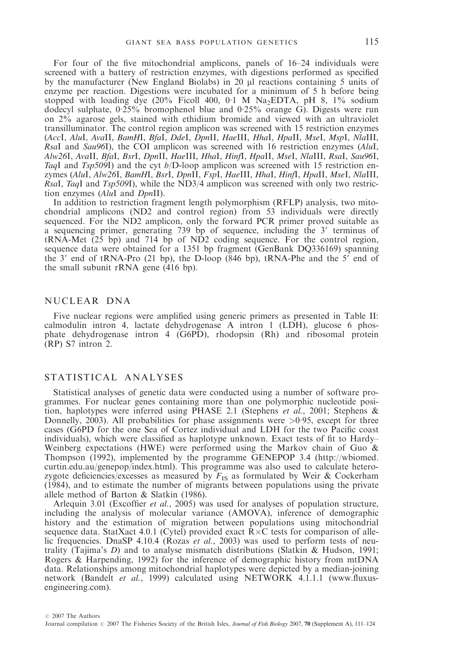For four of the five mitochondrial amplicons, panels of 16–24 individuals were screened with a battery of restriction enzymes, with digestions performed as specified by the manufacturer (New England Biolabs) in 20  $\mu$  reactions containing 5 units of enzyme per reaction. Digestions were incubated for a minimum of 5 h before being stopped with loading dye (20% Ficoll 400, 0.1 M Na<sub>2</sub>EDTA, pH 8, 1% sodium dodecyl sulphate,  $0.25\%$  bromophenol blue and  $0.25\%$  orange G). Digests were run on 2% agarose gels, stained with ethidium bromide and viewed with an ultraviolet transilluminator. The control region amplicon was screened with 15 restriction enzymes (AccI, AluI, AvaII, BamHI, BfaI, DdeI, DpnII, HaeIII, HhaI, HpaII, MseI, MspI, NlaIII, RsaI and Sau96I), the COI amplicon was screened with 16 restriction enzymes (AluI, Alw26I, AvaII, BfaI, BsrI, DpnII, HaeIII, HhaI, HinfI, HpaII, MseI, NlaIII, RsaI, Sau96I, TaqI and  $Tsp509I$ ) and the cyt  $b/D$ -loop amplicon was screened with 15 restriction enzymes (AluI, Alw26I, BamHI, BsrI, DpnII, FspI, HaeIII, HhaI, HinfI, HpaII, MseI, NlaIII, RsaI, TaqI and Tsp509I), while the ND3/4 amplicon was screened with only two restriction enzymes (AluI and DpnII).

In addition to restriction fragment length polymorphism (RFLP) analysis, two mitochondrial amplicons (ND2 and control region) from 53 individuals were directly sequenced. For the ND2 amplicon, only the forward PCR primer proved suitable as a sequencing primer, generating  $739$  bp of sequence, including the  $3'$  terminus of  $tRN\AA$ -Met (25 bp) and 714 bp of ND2 coding sequence. For the control region, sequence data were obtained for a 1351 bp fragment (GenBank DQ336169) spanning the 3' end of tRNA-Pro (21 bp), the D-loop (846 bp), tRNA-Phe and the  $5'$  end of the small subunit rRNA gene (416 bp).

#### NUCLEAR DNA

Five nuclear regions were amplified using generic primers as presented in Table II: calmodulin intron 4, lactate dehydrogenase A intron 1 (LDH), glucose 6 phosphate dehydrogenase intron 4 (G6PD), rhodopsin (Rh) and ribosomal protein (RP) S7 intron 2.

### STATISTICAL ANALYSES

Statistical analyses of genetic data were conducted using a number of software programmes. For nuclear genes containing more than one polymorphic nucleotide position, haplotypes were inferred using PHASE 2.1 (Stephens et al., 2001; Stephens & Donnelly,  $2003$ ). All probabilities for phase assignments were  $>0.95$ , except for three cases (G6PD for the one Sea of Cortez individual and LDH for the two Pacific coast individuals), which were classified as haplotype unknown. Exact tests of fit to Hardy– Weinberg expectations (HWE) were performed using the Markov chain of Guo & Thompson (1992), implemented by the programme GENEPOP 3.4 (http://wbiomed. curtin.edu.au/genepop/index.html). This programme was also used to calculate heterozygote deficiencies/excesses as measured by  $F_{1S}$  as formulated by Weir & Cockerham (1984), and to estimate the number of migrants between populations using the private allele method of Barton & Slatkin (1986).

Arlequin 3.01 (Excoffier *et al.*, 2005) was used for analyses of population structure, including the analysis of molecular variance (AMOVA), inference of demographic history and the estimation of migration between populations using mitochondrial sequence data. StatXact 4.0.1 (Cytel) provided exact  $R \times C$  tests for comparison of allelic frequencies. DnaSP 4.10.4 (Rozas et al., 2003) was used to perform tests of neutrality (Tajima's  $D$ ) and to analyse mismatch distributions (Slatkin & Hudson, 1991; Rogers & Harpending, 1992) for the inference of demographic history from mtDNA data. Relationships among mitochondrial haplotypes were depicted by a median-joining network (Bandelt et al., 1999) calculated using NETWORK 4.1.1.1 (www.fluxusengineering.com).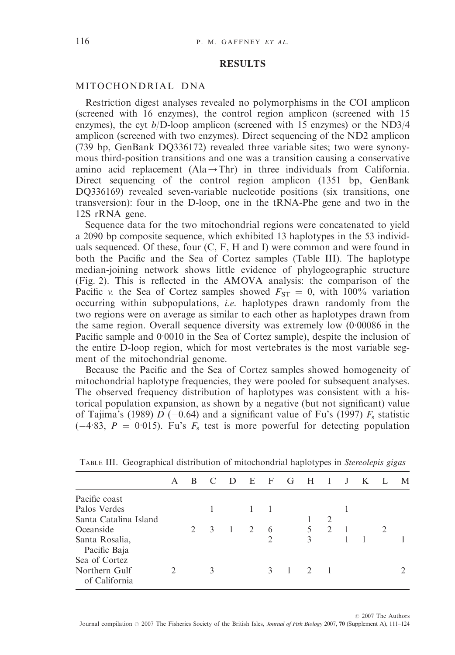# **RESULTS**

# MITOCHONDRIAL DNA

Restriction digest analyses revealed no polymorphisms in the COI amplicon (screened with 16 enzymes), the control region amplicon (screened with 15 enzymes), the cyt  $b/D$ -loop amplicon (screened with 15 enzymes) or the ND3/4 amplicon (screened with two enzymes). Direct sequencing of the ND2 amplicon (739 bp, GenBank DQ336172) revealed three variable sites; two were synonymous third-position transitions and one was a transition causing a conservative amino acid replacement  $(Aa \rightarrow Thr)$  in three individuals from California. Direct sequencing of the control region amplicon (1351 bp, GenBank DQ336169) revealed seven-variable nucleotide positions (six transitions, one transversion): four in the D-loop, one in the tRNA-Phe gene and two in the 12S rRNA gene.

Sequence data for the two mitochondrial regions were concatenated to yield a 2090 bp composite sequence, which exhibited 13 haplotypes in the 53 individuals sequenced. Of these, four (C, F, H and I) were common and were found in both the Pacific and the Sea of Cortez samples (Table III). The haplotype median-joining network shows little evidence of phylogeographic structure (Fig. 2). This is reflected in the AMOVA analysis: the comparison of the Pacific v. the Sea of Cortez samples showed  $F_{ST} = 0$ , with 100% variation occurring within subpopulations, i.e. haplotypes drawn randomly from the two regions were on average as similar to each other as haplotypes drawn from the same region. Overall sequence diversity was extremely low  $(0.00086$  in the Pacific sample and  $0.0010$  in the Sea of Cortez sample), despite the inclusion of the entire D-loop region, which for most vertebrates is the most variable segment of the mitochondrial genome.

Because the Pacific and the Sea of Cortez samples showed homogeneity of mitochondrial haplotype frequencies, they were pooled for subsequent analyses. The observed frequency distribution of haplotypes was consistent with a historical population expansion, as shown by a negative (but not significant) value of Tajima's (1989) D (-0.64) and a significant value of Fu's (1997)  $F_s$  statistic  $(-4.83, P = 0.015)$ . Fu's F<sub>s</sub> test is more powerful for detecting population

|                                | A | B             | $\mathbb{C}$  | D E F G |   | Н |               | $\mathbf{J}$ | K | M |
|--------------------------------|---|---------------|---------------|---------|---|---|---------------|--------------|---|---|
| Pacific coast                  |   |               |               |         |   |   |               |              |   |   |
| Palos Verdes                   |   |               |               |         |   |   |               |              |   |   |
| Santa Catalina Island          |   |               |               |         |   |   | $\mathcal{L}$ |              |   |   |
| Oceanside                      |   | $\mathcal{D}$ | $\mathcal{E}$ |         | 6 | 5 |               |              |   |   |
| Santa Rosalia,<br>Pacific Baja |   |               |               |         |   | 3 |               |              |   |   |
| Sea of Cortez                  |   |               |               |         |   |   |               |              |   |   |
| Northern Gulf<br>of California |   |               |               |         |   |   |               |              |   |   |

TABLE III. Geographical distribution of mitochondrial haplotypes in Stereolepis gigas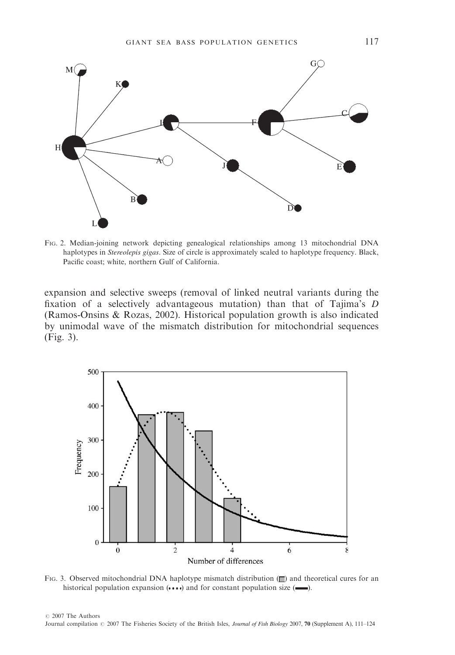

FIG. 2. Median-joining network depicting genealogical relationships among 13 mitochondrial DNA haplotypes in Stereolepis gigas. Size of circle is approximately scaled to haplotype frequency. Black, Pacific coast; white, northern Gulf of California.

expansion and selective sweeps (removal of linked neutral variants during the fixation of a selectively advantageous mutation) than that of Tajima's D (Ramos-Onsins & Rozas, 2002). Historical population growth is also indicated by unimodal wave of the mismatch distribution for mitochondrial sequences (Fig. 3).



FIG. 3. Observed mitochondrial DNA haplotype mismatch distribution ( $\Box$ ) and theoretical cures for an historical population expansion  $( \cdot \cdot \cdot )$  and for constant population size  $($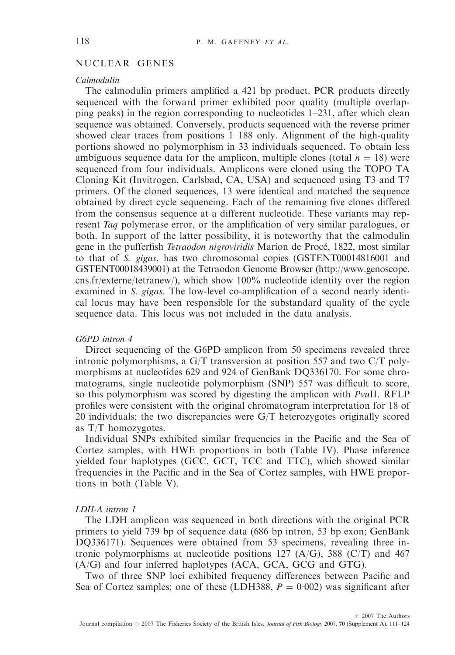# NUCLEAR GENES

#### Calmodulin

The calmodulin primers amplified a 421 bp product. PCR products directly sequenced with the forward primer exhibited poor quality (multiple overlapping peaks) in the region corresponding to nucleotides 1–231, after which clean sequence was obtained. Conversely, products sequenced with the reverse primer showed clear traces from positions 1–188 only. Alignment of the high-quality portions showed no polymorphism in 33 individuals sequenced. To obtain less ambiguous sequence data for the amplicon, multiple clones (total  $n = 18$ ) were sequenced from four individuals. Amplicons were cloned using the TOPO TA Cloning Kit (Invitrogen, Carlsbad, CA, USA) and sequenced using T3 and T7 primers. Of the cloned sequences, 13 were identical and matched the sequence obtained by direct cycle sequencing. Each of the remaining five clones differed from the consensus sequence at a different nucleotide. These variants may represent Taq polymerase error, or the amplification of very similar paralogues, or both. In support of the latter possibility, it is noteworthy that the calmodulin gene in the pufferfish Tetraodon nigroviridis Marion de Proce, 1822, most similar to that of S. gigas, has two chromosomal copies (GSTENT00014816001 and GSTENT00018439001) at the Tetraodon Genome Browser (http://www.genoscope. cns.fr/externe/tetranew/), which show 100% nucleotide identity over the region examined in S. gigas. The low-level co-amplification of a second nearly identical locus may have been responsible for the substandard quality of the cycle sequence data. This locus was not included in the data analysis.

# G6PD intron 4

Direct sequencing of the G6PD amplicon from 50 specimens revealed three intronic polymorphisms, a G/T transversion at position 557 and two C/T polymorphisms at nucleotides 629 and 924 of GenBank DQ336170. For some chromatograms, single nucleotide polymorphism (SNP) 557 was difficult to score, so this polymorphism was scored by digesting the amplicon with PvuII. RFLP profiles were consistent with the original chromatogram interpretation for 18 of 20 individuals; the two discrepancies were G/T heterozygotes originally scored as T/T homozygotes.

Individual SNPs exhibited similar frequencies in the Pacific and the Sea of Cortez samples, with HWE proportions in both (Table IV). Phase inference yielded four haplotypes (GCC, GCT, TCC and TTC), which showed similar frequencies in the Pacific and in the Sea of Cortez samples, with HWE proportions in both (Table V).

# LDH-A intron 1

The LDH amplicon was sequenced in both directions with the original PCR primers to yield 739 bp of sequence data (686 bp intron, 53 bp exon; GenBank DQ336171). Sequences were obtained from 53 specimens, revealing three intronic polymorphisms at nucleotide positions 127  $(A/G)$ , 388  $(C/T)$  and 467 (A/G) and four inferred haplotypes (ACA, GCA, GCG and GTG).

Two of three SNP loci exhibited frequency differences between Pacific and Sea of Cortez samples; one of these (LDH388,  $P = 0.002$ ) was significant after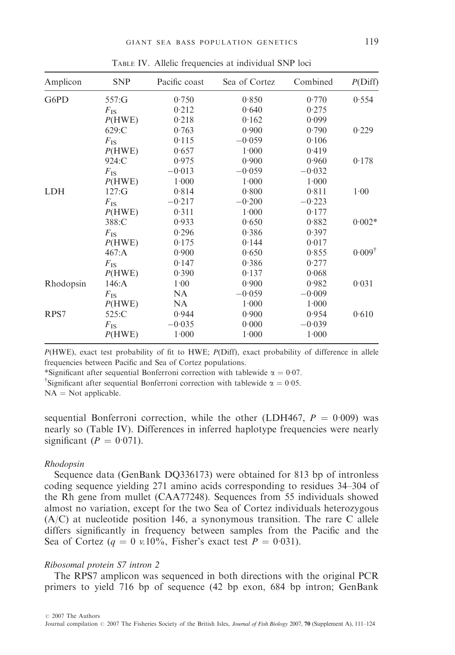| Amplicon   | <b>SNP</b>   | Pacific coast | Sea of Cortez | Combined | P(Diff)           |
|------------|--------------|---------------|---------------|----------|-------------------|
| G6PD       | 557:G        | 0.750         | 0.850         | 0.770    | 0.554             |
|            | $F_{\rm IS}$ | 0.212         | 0.640         | 0.275    |                   |
|            | P(HWE)       | 0.218         | 0.162         | 0.099    |                   |
|            | 629:C        | 0.763         | 0.900         | 0.790    | 0.229             |
|            | $F_{\rm IS}$ | 0.115         | $-0.059$      | 0.106    |                   |
|            | P(HWE)       | 0.657         | 1.000         | 0.419    |                   |
|            | 924:C        | 0.975         | 0.900         | 0.960    | 0.178             |
|            | $F_{\rm IS}$ | $-0.013$      | $-0.059$      | $-0.032$ |                   |
|            | P(HWE)       | 1.000         | 1.000         | 1.000    |                   |
| <b>LDH</b> | 127:G        | 0.814         | 0.800         | 0.811    | 1.00              |
|            | $F_{\rm IS}$ | $-0.217$      | $-0.200$      | $-0.223$ |                   |
|            | P(HWE)       | 0.311         | 1.000         | 0.177    |                   |
|            | 388:C        | 0.933         | 0.650         | 0.882    | $0.002*$          |
|            | $F_{\rm IS}$ | 0.296         | 0.386         | 0.397    |                   |
|            | P(HWE)       | 0.175         | 0.144         | 0.017    |                   |
|            | 467: A       | 0.900         | 0.650         | 0.855    | $0.009^{\dagger}$ |
|            | $F_{\rm IS}$ | 0.147         | 0.386         | 0.277    |                   |
|            | P(HWE)       | 0.390         | 0.137         | 0.068    |                   |
| Rhodopsin  | 146:A        | 1.00          | 0.900         | 0.982    | 0.031             |
|            | $F_{\rm IS}$ | NA            | $-0.059$      | $-0.009$ |                   |
|            | P(HWE)       | NA            | 1.000         | 1.000    |                   |
| RPS7       | 525:C        | 0.944         | 0.900         | 0.954    | 0.610             |
|            | $F_{\rm IS}$ | $-0.035$      | 0.000         | $-0.039$ |                   |
|            | P(HWE)       | $1.000$       | 1.000         | $1.000$  |                   |

TABLE IV. Allelic frequencies at individual SNP loci

P(HWE), exact test probability of fit to HWE; P(Diff), exact probability of difference in allele frequencies between Pacific and Sea of Cortez populations.

\*Significant after sequential Bonferroni correction with tablewide  $\alpha = 0.07$ .

<sup>†</sup>Significant after sequential Bonferroni correction with tablewide  $\alpha = 0.05$ .

 $NA = Not applicable.$ 

sequential Bonferroni correction, while the other (LDH467,  $P = 0.009$ ) was nearly so (Table IV). Differences in inferred haplotype frequencies were nearly significant ( $P = 0.071$ ).

# Rhodopsin

Sequence data (GenBank DQ336173) were obtained for 813 bp of intronless coding sequence yielding 271 amino acids corresponding to residues 34–304 of the Rh gene from mullet (CAA77248). Sequences from 55 individuals showed almost no variation, except for the two Sea of Cortez individuals heterozygous (A/C) at nucleotide position 146, a synonymous transition. The rare C allele differs significantly in frequency between samples from the Pacific and the Sea of Cortez ( $q = 0$  v.10%, Fisher's exact test  $P = 0.031$ ).

#### Ribosomal protein S7 intron 2

The RPS7 amplicon was sequenced in both directions with the original PCR primers to yield 716 bp of sequence (42 bp exon, 684 bp intron; GenBank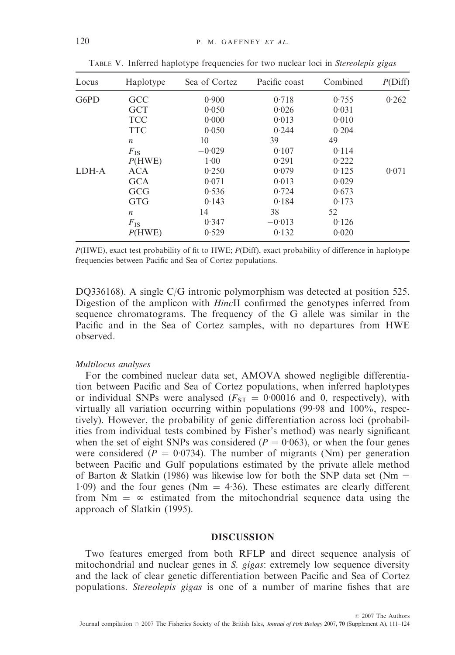| Locus | Haplotype        | Sea of Cortez | Pacific coast | Combined | P(Diff) |  |
|-------|------------------|---------------|---------------|----------|---------|--|
| G6PD  | <b>GCC</b>       | 0.900         | 0.718         | 0.755    | 0.262   |  |
|       | <b>GCT</b>       | 0.050         | 0.026         | 0.031    |         |  |
|       | <b>TCC</b>       | 0.000         | 0.013         | 0.010    |         |  |
|       | <b>TTC</b>       | 0.050         | 0.244         | 0.204    |         |  |
|       | $\boldsymbol{n}$ | 10            | 39            | 49       |         |  |
|       | $F_{\rm IS}$     | $-0.029$      | 0.107         | 0.114    |         |  |
|       | P(HWE)           | 1.00          | 0.291         | 0.222    |         |  |
| LDH-A | <b>ACA</b>       | 0.250         | 0.079         | 0.125    | 0.071   |  |
|       | <b>GCA</b>       | 0.071         | 0.013         | 0.029    |         |  |
|       | GCG              | 0.536         | 0.724         | 0.673    |         |  |
|       | <b>GTG</b>       | 0.143         | 0.184         | 0.173    |         |  |
|       | $\boldsymbol{n}$ | 14            | 38            | 52       |         |  |
|       | $F_{\rm IS}$     | 0.347         | $-0.013$      | 0.126    |         |  |
|       | P(HWE)           | 0.529         | 0.132         | 0.020    |         |  |

TABLE V. Inferred haplotype frequencies for two nuclear loci in Stereolepis gigas

P(HWE), exact test probability of fit to HWE; P(Diff), exact probability of difference in haplotype frequencies between Pacific and Sea of Cortez populations.

DQ336168). A single C/G intronic polymorphism was detected at position 525. Digestion of the amplicon with HincII confirmed the genotypes inferred from sequence chromatograms. The frequency of the G allele was similar in the Pacific and in the Sea of Cortez samples, with no departures from HWE observed.

#### Multilocus analyses

For the combined nuclear data set, AMOVA showed negligible differentiation between Pacific and Sea of Cortez populations, when inferred haplotypes or individual SNPs were analysed ( $F_{ST} = 0.00016$  and 0, respectively), with virtually all variation occurring within populations (9998 and 100%, respectively). However, the probability of genic differentiation across loci (probabilities from individual tests combined by Fisher's method) was nearly significant when the set of eight SNPs was considered ( $P = 0.063$ ), or when the four genes were considered ( $P = 0.0734$ ). The number of migrants (Nm) per generation between Pacific and Gulf populations estimated by the private allele method of Barton & Slatkin (1986) was likewise low for both the SNP data set (Nm  $=$ 1.09) and the four genes ( $Nm = 4.36$ ). These estimates are clearly different from  $Nm = \infty$  estimated from the mitochondrial sequence data using the approach of Slatkin (1995).

### DISCUSSION

Two features emerged from both RFLP and direct sequence analysis of mitochondrial and nuclear genes in S. gigas: extremely low sequence diversity and the lack of clear genetic differentiation between Pacific and Sea of Cortez populations. Stereolepis gigas is one of a number of marine fishes that are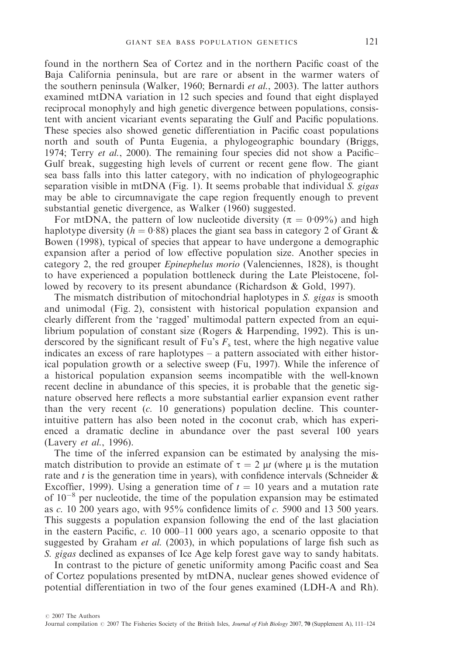found in the northern Sea of Cortez and in the northern Pacific coast of the Baja California peninsula, but are rare or absent in the warmer waters of the southern peninsula (Walker, 1960; Bernardi et al., 2003). The latter authors examined mtDNA variation in 12 such species and found that eight displayed reciprocal monophyly and high genetic divergence between populations, consistent with ancient vicariant events separating the Gulf and Pacific populations. These species also showed genetic differentiation in Pacific coast populations north and south of Punta Eugenia, a phylogeographic boundary (Briggs, 1974; Terry et al., 2000). The remaining four species did not show a Pacific– Gulf break, suggesting high levels of current or recent gene flow. The giant sea bass falls into this latter category, with no indication of phylogeographic separation visible in mtDNA (Fig. 1). It seems probable that individual S. *gigas* may be able to circumnavigate the cape region frequently enough to prevent substantial genetic divergence, as Walker (1960) suggested.

For mtDNA, the pattern of low nucleotide diversity ( $\pi = 0.09\%$ ) and high haplotype diversity ( $h = 0.88$ ) places the giant sea bass in category 2 of Grant & Bowen (1998), typical of species that appear to have undergone a demographic expansion after a period of low effective population size. Another species in category 2, the red grouper Epinephelus morio (Valenciennes, 1828), is thought to have experienced a population bottleneck during the Late Pleistocene, followed by recovery to its present abundance (Richardson & Gold, 1997).

The mismatch distribution of mitochondrial haplotypes in S. gigas is smooth and unimodal (Fig. 2), consistent with historical population expansion and clearly different from the 'ragged' multimodal pattern expected from an equilibrium population of constant size (Rogers & Harpending, 1992). This is underscored by the significant result of Fu's  $F_s$  test, where the high negative value indicates an excess of rare haplotypes – a pattern associated with either historical population growth or a selective sweep (Fu, 1997). While the inference of a historical population expansion seems incompatible with the well-known recent decline in abundance of this species, it is probable that the genetic signature observed here reflects a more substantial earlier expansion event rather than the very recent  $(c, 10)$  generations) population decline. This counterintuitive pattern has also been noted in the coconut crab, which has experienced a dramatic decline in abundance over the past several 100 years (Lavery et al., 1996).

The time of the inferred expansion can be estimated by analysing the mismatch distribution to provide an estimate of  $\tau = 2 \mu t$  (where  $\mu$  is the mutation rate and t is the generation time in years), with confidence intervals (Schneider  $\&$ Excoffier, 1999). Using a generation time of  $t = 10$  years and a mutation rate of  $10^{-8}$  per nucleotide, the time of the population expansion may be estimated as c. 10 200 years ago, with 95% confidence limits of c. 5900 and 13 500 years. This suggests a population expansion following the end of the last glaciation in the eastern Pacific, c. 10 000–11 000 years ago, a scenario opposite to that suggested by Graham *et al.* (2003), in which populations of large fish such as S. gigas declined as expanses of Ice Age kelp forest gave way to sandy habitats.

In contrast to the picture of genetic uniformity among Pacific coast and Sea of Cortez populations presented by mtDNA, nuclear genes showed evidence of potential differentiation in two of the four genes examined (LDH-A and Rh).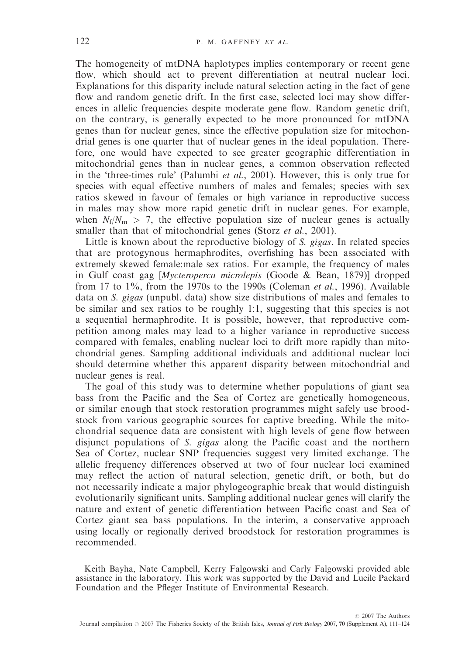The homogeneity of mtDNA haplotypes implies contemporary or recent gene flow, which should act to prevent differentiation at neutral nuclear loci. Explanations for this disparity include natural selection acting in the fact of gene flow and random genetic drift. In the first case, selected loci may show differences in allelic frequencies despite moderate gene flow. Random genetic drift, on the contrary, is generally expected to be more pronounced for mtDNA genes than for nuclear genes, since the effective population size for mitochondrial genes is one quarter that of nuclear genes in the ideal population. Therefore, one would have expected to see greater geographic differentiation in mitochondrial genes than in nuclear genes, a common observation reflected in the 'three-times rule' (Palumbi et al., 2001). However, this is only true for species with equal effective numbers of males and females; species with sex ratios skewed in favour of females or high variance in reproductive success in males may show more rapid genetic drift in nuclear genes. For example, when  $N_f/N_m > 7$ , the effective population size of nuclear genes is actually smaller than that of mitochondrial genes (Storz et al., 2001).

Little is known about the reproductive biology of S. gigas. In related species that are protogynous hermaphrodites, overfishing has been associated with extremely skewed female:male sex ratios. For example, the frequency of males in Gulf coast gag [Mycteroperca microlepis (Goode & Bean, 1879)] dropped from 17 to  $1\%$ , from the 1970s to the 1990s (Coleman *et al.*, 1996). Available data on S. gigas (unpubl. data) show size distributions of males and females to be similar and sex ratios to be roughly 1:1, suggesting that this species is not a sequential hermaphrodite. It is possible, however, that reproductive competition among males may lead to a higher variance in reproductive success compared with females, enabling nuclear loci to drift more rapidly than mitochondrial genes. Sampling additional individuals and additional nuclear loci should determine whether this apparent disparity between mitochondrial and nuclear genes is real.

The goal of this study was to determine whether populations of giant sea bass from the Pacific and the Sea of Cortez are genetically homogeneous, or similar enough that stock restoration programmes might safely use broodstock from various geographic sources for captive breeding. While the mitochondrial sequence data are consistent with high levels of gene flow between disjunct populations of S. gigas along the Pacific coast and the northern Sea of Cortez, nuclear SNP frequencies suggest very limited exchange. The allelic frequency differences observed at two of four nuclear loci examined may reflect the action of natural selection, genetic drift, or both, but do not necessarily indicate a major phylogeographic break that would distinguish evolutionarily significant units. Sampling additional nuclear genes will clarify the nature and extent of genetic differentiation between Pacific coast and Sea of Cortez giant sea bass populations. In the interim, a conservative approach using locally or regionally derived broodstock for restoration programmes is recommended.

Keith Bayha, Nate Campbell, Kerry Falgowski and Carly Falgowski provided able assistance in the laboratory. This work was supported by the David and Lucile Packard Foundation and the Pfleger Institute of Environmental Research.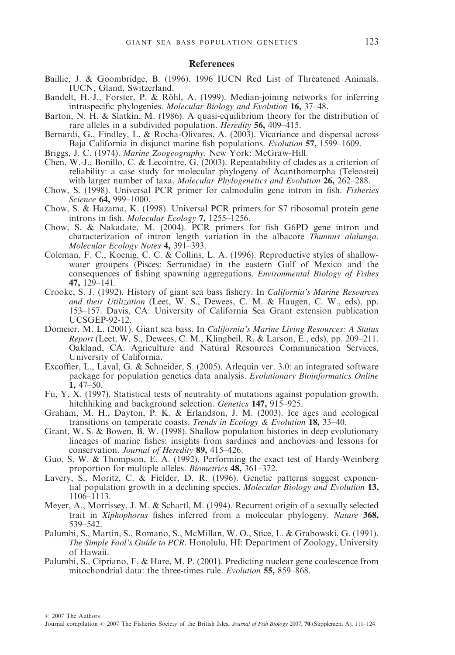# References

- Baillie, J. & Goombridge, B. (1996). 1996 IUCN Red List of Threatened Animals. IUCN, Gland, Switzerland.
- Bandelt, H.-J., Forster, P. & Röhl, A. (1999). Median-joining networks for inferring intraspecific phylogenies. Molecular Biology and Evolution 16, 37–48.
- Barton, N. H. & Slatkin, M. (1986). A quasi-equilibrium theory for the distribution of rare alleles in a subdivided population. *Heredity* **56**, 409–415.
- Bernardi, G., Findley, L. & Rocha-Olivares, A. (2003). Vicariance and dispersal across Baja California in disjunct marine fish populations. Evolution 57, 1599-1609.
- Briggs, J. C. (1974). Marine Zoogeography. New York: McGraw-Hill.
- Chen, W.-J., Bonillo, C. & Lecointre, G. (2003). Repeatability of clades as a criterion of reliability: a case study for molecular phylogeny of Acanthomorpha (Teleostei) with larger number of taxa. *Molecular Phylogenetics and Evolution* 26, 262–288.
- Chow, S. (1998). Universal PCR primer for calmodulin gene intron in fish. Fisheries Science **64**, 999-1000.
- Chow, S. & Hazama, K. (1998). Universal PCR primers for S7 ribosomal protein gene introns in fish. *Molecular Ecology* **7,** 1255–1256.
- Chow, S. & Nakadate, M. (2004). PCR primers for fish G6PD gene intron and characterization of intron length variation in the albacore Thunnus alalunga. Molecular Ecology Notes 4, 391–393.
- Coleman, F. C., Koenig, C. C. & Collins, L. A. (1996). Reproductive styles of shallowwater groupers (Pisces: Serranidae) in the eastern Gulf of Mexico and the consequences of fishing spawning aggregations. Environmental Biology of Fishes 47,  $12\overline{9} - 141$ .
- Crooke, S. J. (1992). History of giant sea bass fishery. In California's Marine Resources and their Utilization (Leet, W. S., Dewees, C. M. & Haugen, C. W., eds), pp. 153–157. Davis, CA: University of California Sea Grant extension publication UCSGEP-92-12.
- Domeier, M. L. (2001). Giant sea bass. In California's Marine Living Resources: A Status Report (Leet, W. S., Dewees, C. M., Klingbeil, R. & Larson, E., eds), pp. 209–211. Oakland, CA: Agriculture and Natural Resources Communication Services, University of California.
- Excoffier, L., Laval, G. & Schneider, S. (2005). Arlequin ver. 3.0: an integrated software package for population genetics data analysis. Evolutionary Bioinformatics Online 1, 47–50.
- Fu, Y. X. (1997). Statistical tests of neutrality of mutations against population growth, hitchhiking and background selection. *Genetics* **147,** 915–925.
- Graham, M. H., Dayton, P. K. & Erlandson, J. M. (2003). Ice ages and ecological transitions on temperate coasts. Trends in Ecology & Evolution 18, 33-40.
- Grant, W. S. & Bowen, B. W. (1998). Shallow population histories in deep evolutionary lineages of marine fishes: insights from sardines and anchovies and lessons for conservation. Journal of Heredity 89, 415–426.
- Guo, S. W. & Thompson, E. A. (1992). Performing the exact test of Hardy-Weinberg proportion for multiple alleles. Biometrics 48, 361–372.
- Lavery, S., Moritz, C. & Fielder, D. R. (1996). Genetic patterns suggest exponential population growth in a declining species. Molecular Biology and Evolution 13, 1106–1113.
- Meyer, A., Morrissey, J. M. & Schartl, M. (1994). Recurrent origin of a sexually selected trait in Xiphophorus fishes inferred from a molecular phylogeny. Nature 368, 539–542.
- Palumbi, S., Martin, S., Romano, S., McMillan, W. O., Stice, L. & Grabowski, G. (1991). The Simple Fool's Guide to PCR. Honolulu, HI: Department of Zoology, University of Hawaii.
- Palumbi, S., Cipriano, F. & Hare, M. P. (2001). Predicting nuclear gene coalescence from mitochondrial data: the three-times rule. Evolution 55, 859–868.